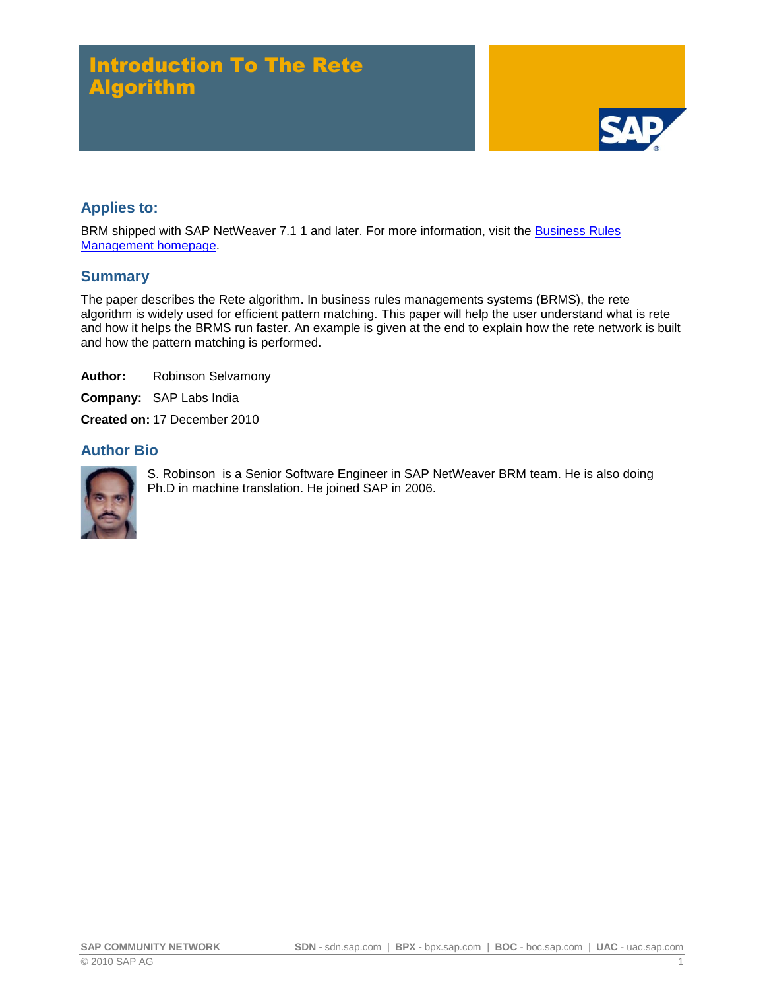# Introduction To The Rete Algorithm



### **Applies to:**

BRM shipped with SAP NetWeaver 7.1 1 and later. For more information, visit the Business Rules [Management homepage.](https://www.sdn.sap.com/irj/sdn/nw-rules-management)

### **Summary**

The paper describes the Rete algorithm. In business rules managements systems (BRMS), the rete algorithm is widely used for efficient pattern matching. This paper will help the user understand what is rete and how it helps the BRMS run faster. An example is given at the end to explain how the rete network is built and how the pattern matching is performed.

**Author:** Robinson Selvamony

**Company:** SAP Labs India

**Created on:** 17 December 2010

### **Author Bio**



S. Robinson is a Senior Software Engineer in SAP NetWeaver BRM team. He is also doing Ph.D in machine translation. He joined SAP in 2006.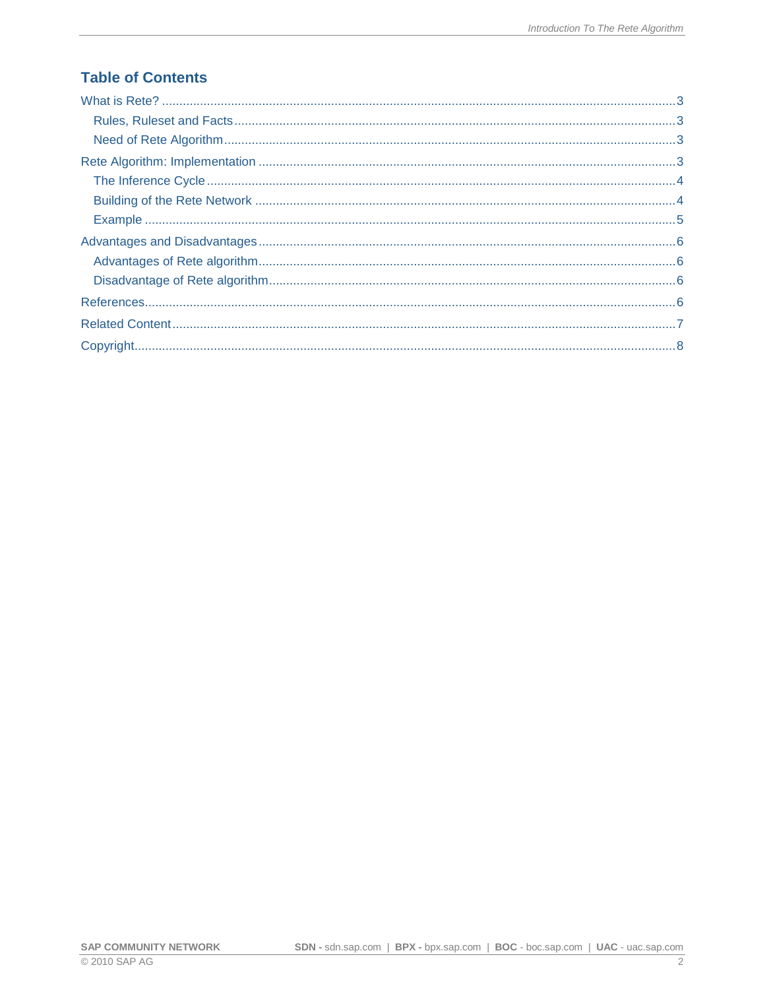# **Table of Contents**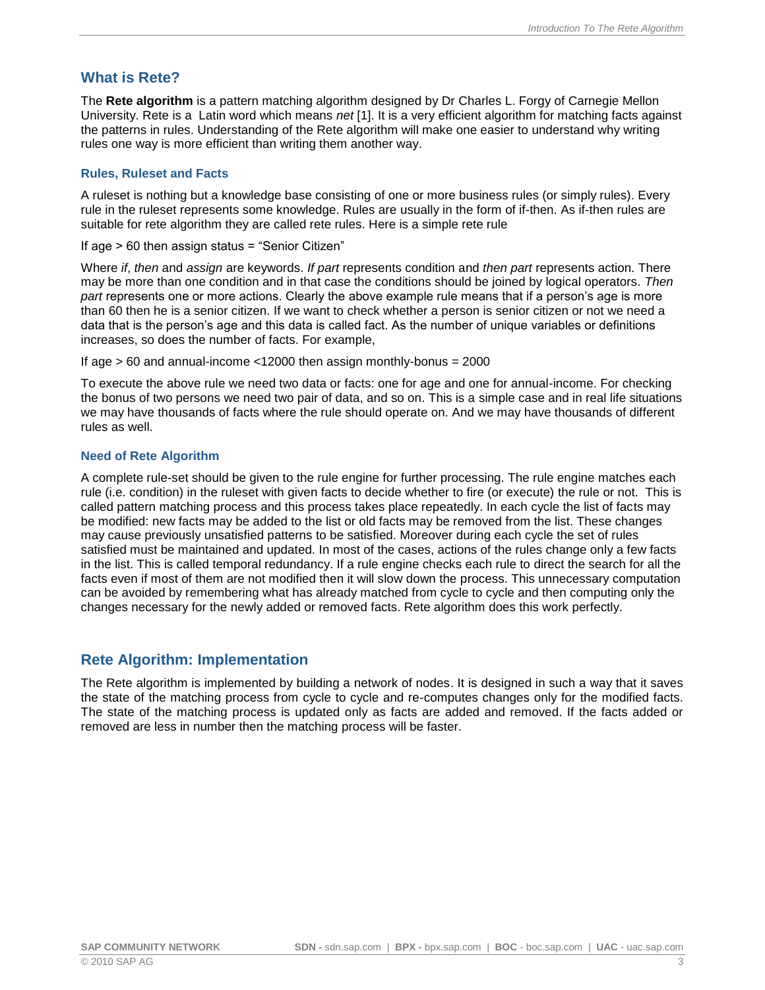### <span id="page-2-0"></span>**What is Rete?**

The **Rete algorithm** is a pattern matching algorithm designed by Dr Charles L. Forgy of Carnegie Mellon University. Rete is a Latin word which means *net* [1]. It is a very efficient algorithm for matching facts against the patterns in rules. Understanding of the Rete algorithm will make one easier to understand why writing rules one way is more efficient than writing them another way.

#### <span id="page-2-1"></span>**Rules, Ruleset and Facts**

A ruleset is nothing but a knowledge base consisting of one or more business rules (or simply rules). Every rule in the ruleset represents some knowledge. Rules are usually in the form of if-then. As if-then rules are suitable for rete algorithm they are called rete rules. Here is a simple rete rule

If age > 60 then assign status = "Senior Citizen"

Where *if*, *then* and *assign* are keywords. *If part* represents condition and *then part* represents action. There may be more than one condition and in that case the conditions should be joined by logical operators. *Then part* represents one or more actions. Clearly the above example rule means that if a person's age is more than 60 then he is a senior citizen. If we want to check whether a person is senior citizen or not we need a data that is the person's age and this data is called fact. As the number of unique variables or definitions increases, so does the number of facts. For example,

If age  $> 60$  and annual-income <12000 then assign monthly-bonus = 2000

To execute the above rule we need two data or facts: one for age and one for annual-income. For checking the bonus of two persons we need two pair of data, and so on. This is a simple case and in real life situations we may have thousands of facts where the rule should operate on. And we may have thousands of different rules as well.

#### <span id="page-2-2"></span>**Need of Rete Algorithm**

A complete rule-set should be given to the rule engine for further processing. The rule engine matches each rule (i.e. condition) in the ruleset with given facts to decide whether to fire (or execute) the rule or not. This is called pattern matching process and this process takes place repeatedly. In each cycle the list of facts may be modified: new facts may be added to the list or old facts may be removed from the list. These changes may cause previously unsatisfied patterns to be satisfied. Moreover during each cycle the set of rules satisfied must be maintained and updated. In most of the cases, actions of the rules change only a few facts in the list. This is called temporal redundancy. If a rule engine checks each rule to direct the search for all the facts even if most of them are not modified then it will slow down the process. This unnecessary computation can be avoided by remembering what has already matched from cycle to cycle and then computing only the changes necessary for the newly added or removed facts. Rete algorithm does this work perfectly.

### <span id="page-2-3"></span>**Rete Algorithm: Implementation**

The Rete algorithm is implemented by building a network of nodes. It is designed in such a way that it saves the state of the matching process from cycle to cycle and re-computes changes only for the modified facts. The state of the matching process is updated only as facts are added and removed. If the facts added or removed are less in number then the matching process will be faster.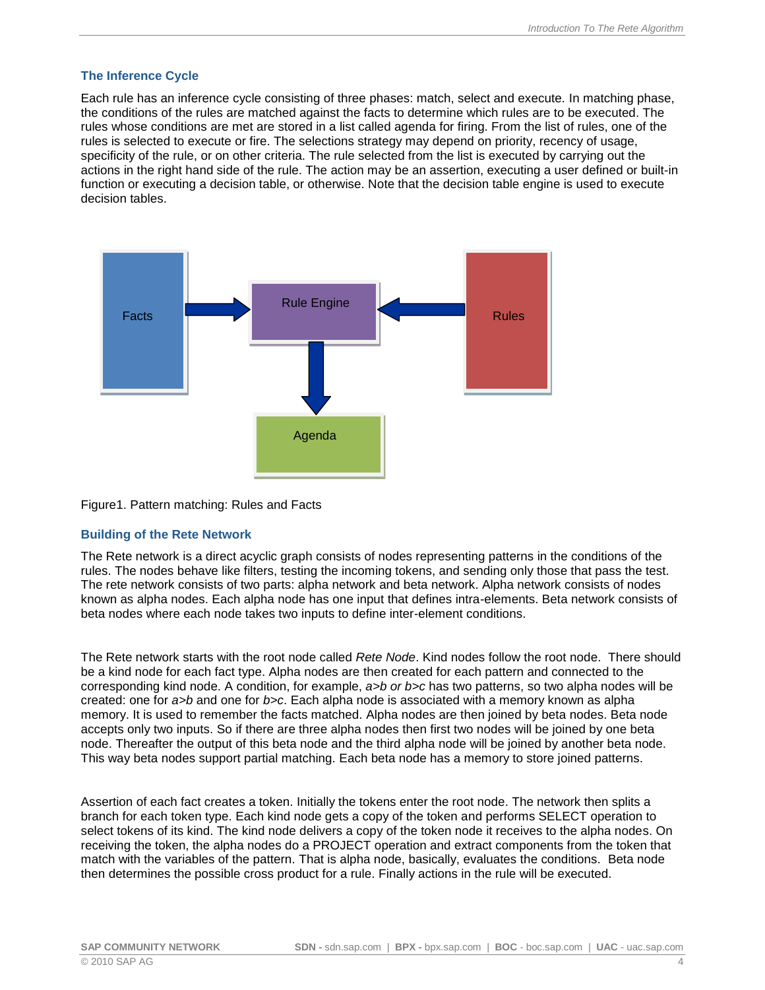#### <span id="page-3-0"></span>**The Inference Cycle**

Each rule has an inference cycle consisting of three phases: match, select and execute. In matching phase, the conditions of the rules are matched against the facts to determine which rules are to be executed. The rules whose conditions are met are stored in a list called agenda for firing. From the list of rules, one of the rules is selected to execute or fire. The selections strategy may depend on priority, recency of usage, specificity of the rule, or on other criteria. The rule selected from the list is executed by carrying out the actions in the right hand side of the rule. The action may be an assertion, executing a user defined or built-in function or executing a decision table, or otherwise. Note that the decision table engine is used to execute decision tables.



#### Figure1. Pattern matching: Rules and Facts

#### <span id="page-3-1"></span>**Building of the Rete Network**

The Rete network is a direct acyclic graph consists of nodes representing patterns in the conditions of the rules. The nodes behave like filters, testing the incoming tokens, and sending only those that pass the test. The rete network consists of two parts: alpha network and beta network. Alpha network consists of nodes known as alpha nodes. Each alpha node has one input that defines intra-elements. Beta network consists of beta nodes where each node takes two inputs to define inter-element conditions.

The Rete network starts with the root node called *Rete Node*. Kind nodes follow the root node. There should be a kind node for each fact type. Alpha nodes are then created for each pattern and connected to the corresponding kind node. A condition, for example, *a>b or b>c* has two patterns, so two alpha nodes will be created: one for *a>b* and one for *b>c*. Each alpha node is associated with a memory known as alpha memory. It is used to remember the facts matched. Alpha nodes are then joined by beta nodes. Beta node accepts only two inputs. So if there are three alpha nodes then first two nodes will be joined by one beta node. Thereafter the output of this beta node and the third alpha node will be joined by another beta node. This way beta nodes support partial matching. Each beta node has a memory to store joined patterns.

Assertion of each fact creates a token. Initially the tokens enter the root node. The network then splits a branch for each token type. Each kind node gets a copy of the token and performs SELECT operation to select tokens of its kind. The kind node delivers a copy of the token node it receives to the alpha nodes. On receiving the token, the alpha nodes do a PROJECT operation and extract components from the token that match with the variables of the pattern. That is alpha node, basically, evaluates the conditions. Beta node then determines the possible cross product for a rule. Finally actions in the rule will be executed.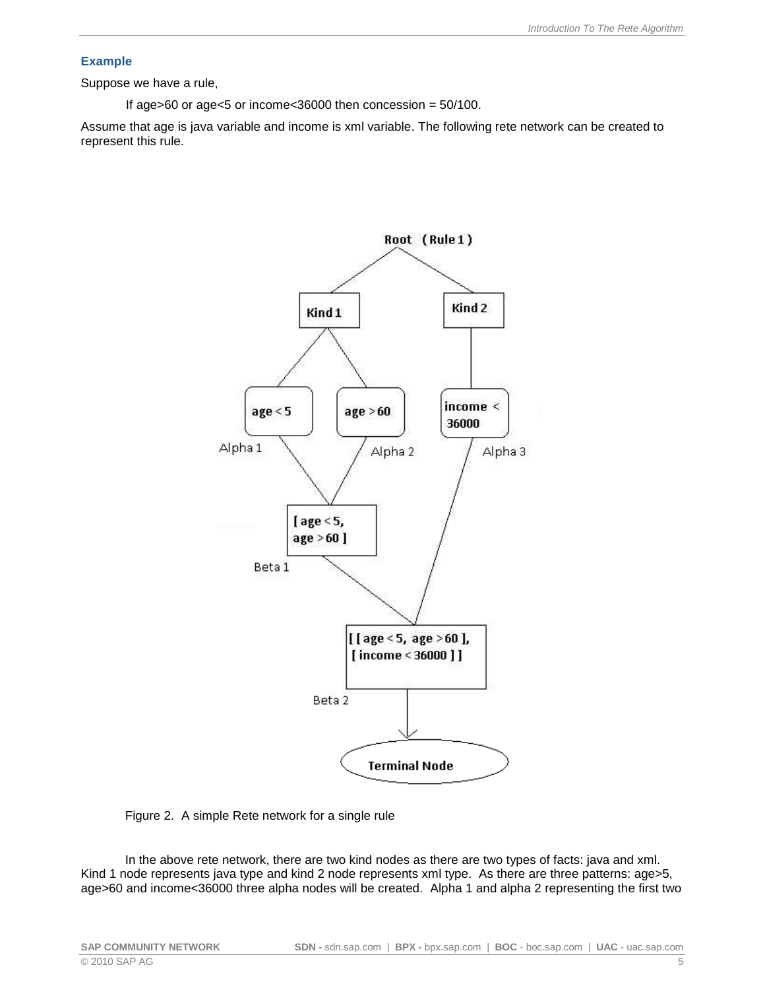#### <span id="page-4-0"></span>**Example**

Suppose we have a rule,

If age $>60$  or age $< 5$  or income $< 36000$  then concession =  $50/100$ .

Assume that age is java variable and income is xml variable. The following rete network can be created to represent this rule.



Figure 2. A simple Rete network for a single rule

In the above rete network, there are two kind nodes as there are two types of facts: java and xml. Kind 1 node represents java type and kind 2 node represents xml type. As there are three patterns: age>5, age>60 and income<36000 three alpha nodes will be created. Alpha 1 and alpha 2 representing the first two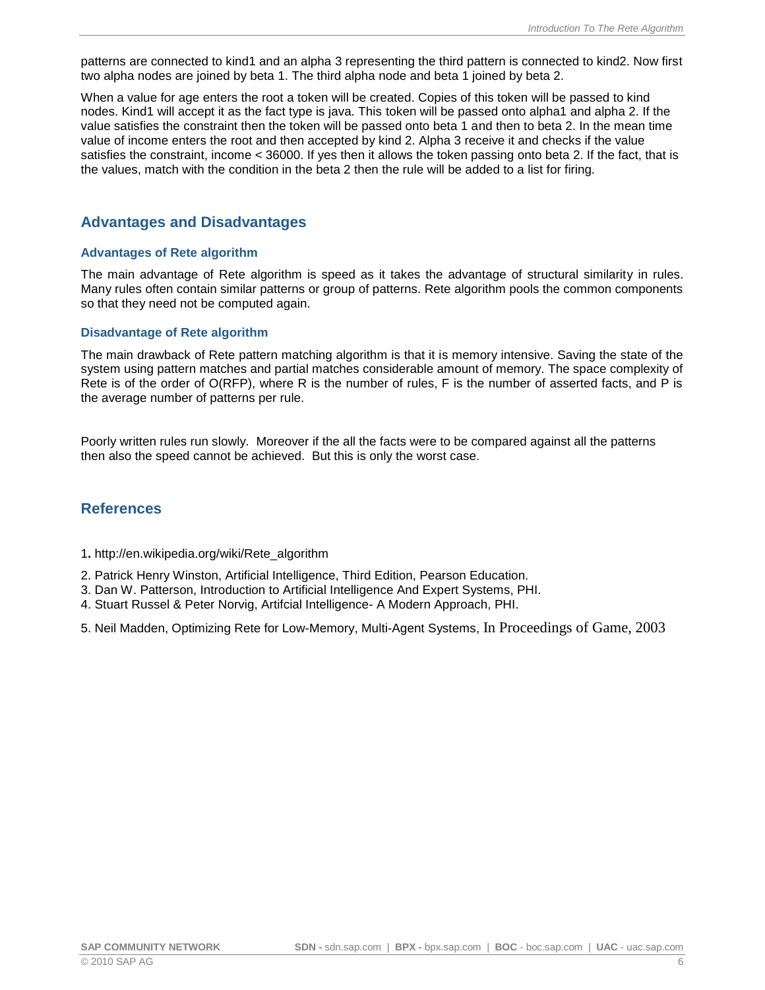patterns are connected to kind1 and an alpha 3 representing the third pattern is connected to kind2. Now first two alpha nodes are joined by beta 1. The third alpha node and beta 1 joined by beta 2.

When a value for age enters the root a token will be created. Copies of this token will be passed to kind nodes. Kind1 will accept it as the fact type is java. This token will be passed onto alpha1 and alpha 2. If the value satisfies the constraint then the token will be passed onto beta 1 and then to beta 2. In the mean time value of income enters the root and then accepted by kind 2. Alpha 3 receive it and checks if the value satisfies the constraint, income < 36000. If yes then it allows the token passing onto beta 2. If the fact, that is the values, match with the condition in the beta 2 then the rule will be added to a list for firing.

### <span id="page-5-0"></span>**Advantages and Disadvantages**

#### <span id="page-5-1"></span>**Advantages of Rete algorithm**

The main advantage of Rete algorithm is speed as it takes the advantage of structural similarity in rules. Many rules often contain similar patterns or group of patterns. Rete algorithm pools the common components so that they need not be computed again.

#### <span id="page-5-2"></span>**Disadvantage of Rete algorithm**

The main drawback of Rete pattern matching algorithm is that it is memory intensive. Saving the state of the system using pattern matches and partial matches considerable amount of memory. The space complexity of Rete is of the order of O(RFP), where R is the number of rules, F is the number of asserted facts, and P is the average number of patterns per rule.

Poorly written rules run slowly. Moreover if the all the facts were to be compared against all the patterns then also the speed cannot be achieved. But this is only the worst case.

### <span id="page-5-3"></span>**References**

1**.** http://en.wikipedia.org/wiki/Rete\_algorithm

- 2. Patrick Henry Winston, Artificial Intelligence, Third Edition, Pearson Education.
- 3. Dan W. Patterson, Introduction to Artificial Intelligence And Expert Systems, PHI.
- 4. Stuart Russel & Peter Norvig, Artifcial Intelligence- A Modern Approach, PHI.

5. Neil Madden, Optimizing Rete for Low-Memory, Multi-Agent Systems, In Proceedings of Game, 2003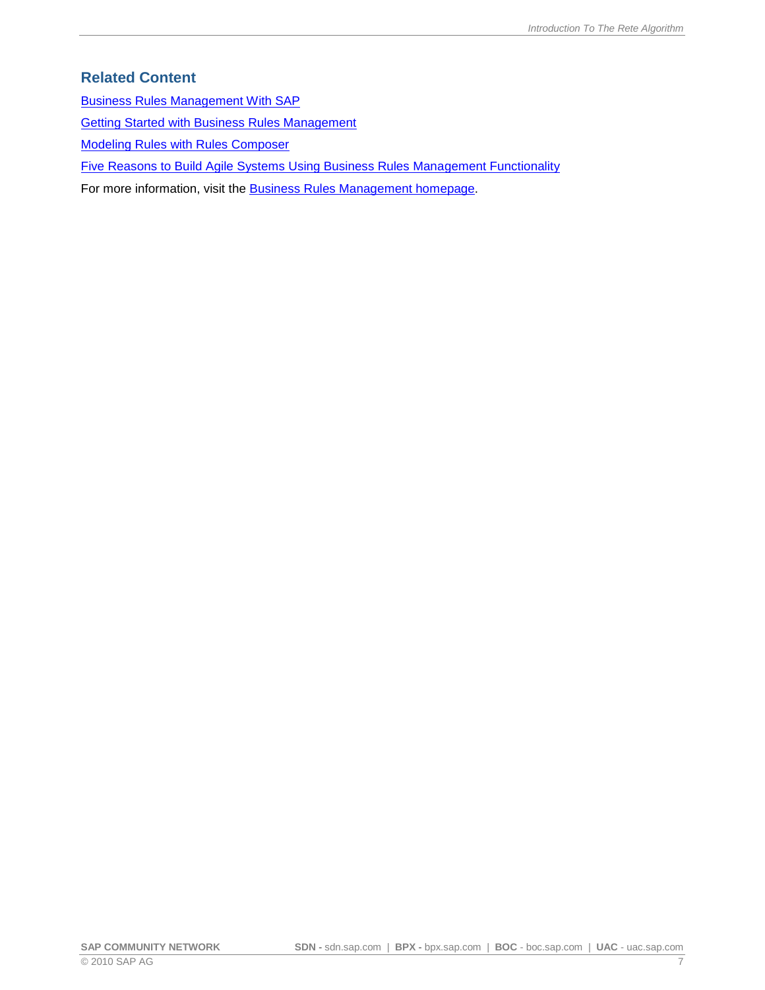### <span id="page-6-0"></span>**Related Content**

[Business Rules Management With SAP](http://www.sdn.sap.com/irj/scn/index?rid=/library/uuid/50a961f8-8dd7-2d10-8f9b-f20285870733)

[Getting Started with Business Rules Management](http://www.sdn.sap.com/irj/sdn/go/portal/prtroot/docs/library/uuid/70c669d8-3ac2-2a10-0e96-c7c3786168f0)

[Modeling Rules with Rules Composer](http://help.sap.com/saphelp_nwce72/helpdata/en/81/097529e0e545e58bb2d7a34e4d0a2a/frameset.htm)

[Five Reasons to Build Agile Systems Using Business Rules Management Functionality](http://www.sdn.sap.com/irj/scn/index?rid=/library/uuid/504486eb-43c2-2a10-f5a7-e84ef3fd45be)

For more information, visit the **Business Rules Management homepage**.